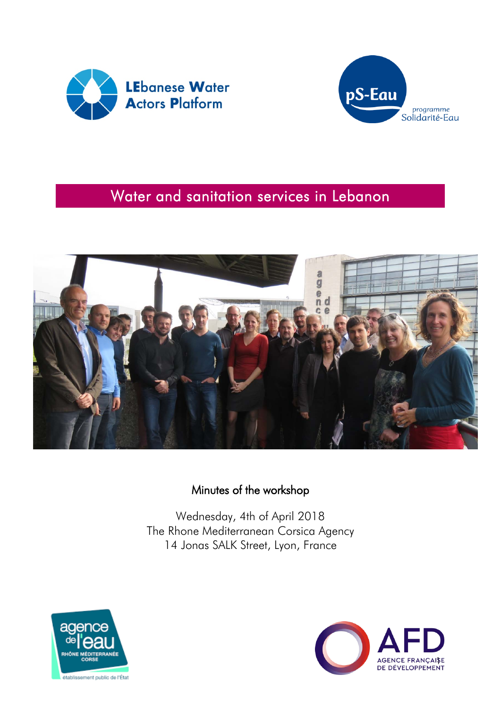



# Water and sanitation services in Lebanon



## Minutes of the workshop

Wednesday, 4th of April 2018 The Rhone Mediterranean Corsica Agency 14 Jonas SALK Street, Lyon, France



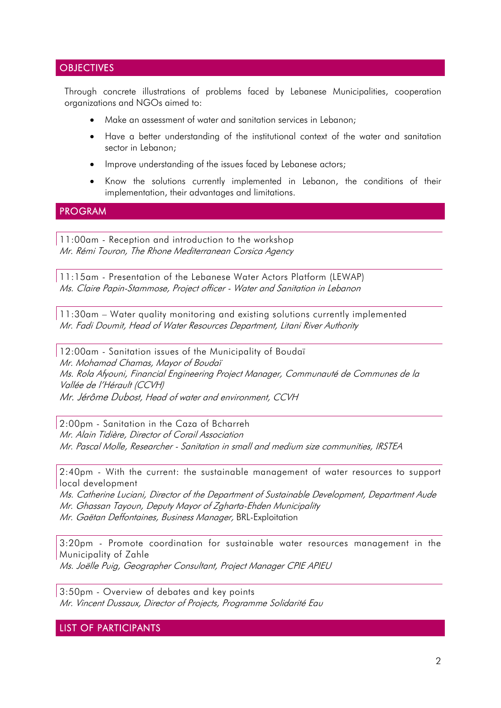### **OBJECTIVES**

Through concrete illustrations of problems faced by Lebanese Municipalities, cooperation organizations and NGOs aimed to:

- Make an assessment of water and sanitation services in Lebanon;
- Have a better understanding of the institutional context of the water and sanitation sector in Lebanon;
- Improve understanding of the issues faced by Lebanese actors;
- Know the solutions currently implemented in Lebanon, the conditions of their implementation, their advantages and limitations.

#### PROGRAM

11:00am - Reception and introduction to the workshop Mr. Rémi Touron, The Rhone Mediterranean Corsica Agency

11:15am - Presentation of the Lebanese Water Actors Platform (LEWAP) Ms. Claire Papin-Stammose, Project officer - Water and Sanitation in Lebanon

11:30am – Water quality monitoring and existing solutions currently implemented Mr. Fadi Doumit, Head of Water Resources Department, Litani River Authority

12:00am - Sanitation issues of the Municipality of Boudaï Mr. Mohamad Chamas, Mayor of Boudaï Ms. Rola Afyouni, Financial Engineering Project Manager, Communauté de Communes de la Vallée de l'Hérault (CCVH) Mr. Jérôme Dubost, Head of water and environment, CCVH

2:00pm - Sanitation in the Caza of Bcharreh Mr. Alain Tidière, Director of Corail Association Mr. Pascal Molle, Researcher - Sanitation in small and medium size communities, IRSTEA

2:40pm - With the current: the sustainable management of water resources to support local development

Ms. Catherine Luciani, Director of the Department of Sustainable Development, Department Aude Mr. Ghassan Tayoun, Deputy Mayor of Zgharta-Ehden Municipality Mr. Gaëtan Deffontaines, Business Manager, BRL-Exploitation

3:20pm - Promote coordination for sustainable water resources management in the Municipality of Zahle Ms. Joëlle Puig, Geographer Consultant, Project Manager CPIE APIEU

3:50pm - Overview of debates and key points Mr. Vincent Dussaux, Director of Projects, Programme Solidarité Eau

LIST OF PARTICIPANTS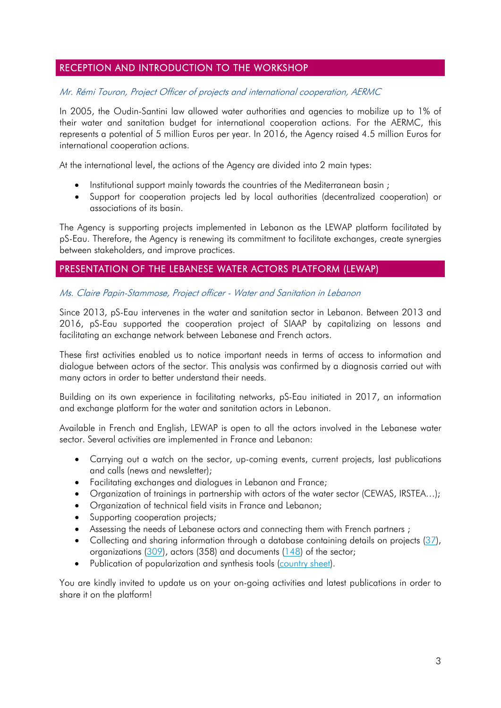### RECEPTION AND INTRODUCTION TO THE WORKSHOP

#### Mr. Rémi Touron, Project Officer of projects and international cooperation, AERMC

In 2005, the Oudin-Santini law allowed water authorities and agencies to mobilize up to 1% of their water and sanitation budget for international cooperation actions. For the AERMC, this represents a potential of 5 million Euros per year. In 2016, the Agency raised 4.5 million Euros for international cooperation actions.

At the international level, the actions of the Agency are divided into 2 main types:

- Institutional support mainly towards the countries of the Mediterranean basin;
- Support for cooperation projects led by local authorities (decentralized cooperation) or associations of its basin.

The Agency is supporting projects implemented in Lebanon as the LEWAP platform facilitated by pS-Eau. Therefore, the Agency is renewing its commitment to facilitate exchanges, create synergies between stakeholders, and improve practices.

### PRESENTATION OF THE LEBANESE WATER ACTORS PLATFORM (LEWAP)

#### Ms. Claire Papin-Stammose, Project officer - Water and Sanitation in Lebanon

Since 2013, pS-Eau intervenes in the water and sanitation sector in Lebanon. Between 2013 and 2016, pS-Eau supported the cooperation project of SIAAP by capitalizing on lessons and facilitating an exchange network between Lebanese and French actors.

These first activities enabled us to notice important needs in terms of access to information and dialogue between actors of the sector. This analysis was confirmed by a diagnosis carried out with many actors in order to better understand their needs.

Building on its own experience in facilitating networks, pS-Eau initiated in 2017, an information and exchange platform for the water and sanitation actors in Lebanon.

Available in French and English, LEWAP is open to all the actors involved in the Lebanese water sector. Several activities are implemented in France and Lebanon:

- Carrying out a watch on the sector, up-coming events, current projects, last publications and calls (news and newsletter);
- Facilitating exchanges and dialogues in Lebanon and France;
- Organization of trainings in partnership with actors of the water sector (CEWAS, IRSTEA...);
- Organization of technical field visits in France and Lebanon;
- Supporting cooperation projects;
- Assessing the needs of Lebanese actors and connecting them with French partners ;
- Collecting and sharing information through a database containing details on projects [\(37\)](https://www.lewap.org/mapofprojects/), organizations [\(309\)](https://www.lewap.org/organisations/), actors (358) and documents  $(148)$  of the sector;
- Publication of popularization and synthesis tools [\(country sheet\)](https://www.pseau.org/outils/ouvrages/ps_eau_country_sheet_lebanon_2018.pdf).

You are kindly invited to update us on your on-going activities and latest publications in order to share it on the platform!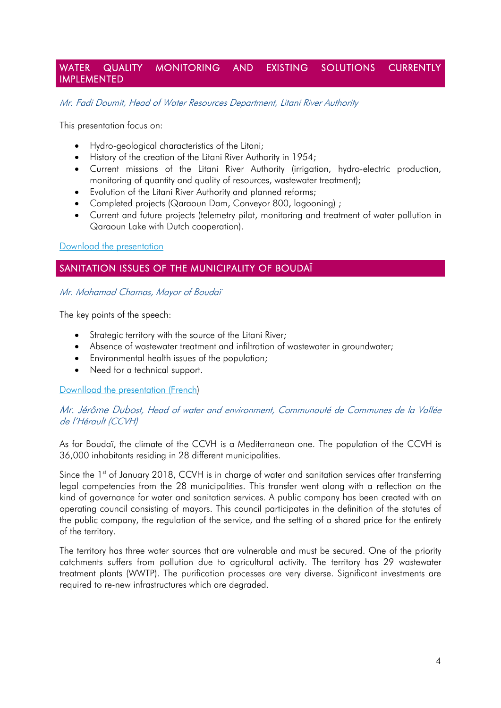### WATER QUALITY MONITORING AND EXISTING SOLUTIONS CURRENTLY IMPLEMENTED

Mr. Fadi Doumit, Head of Water Resources Department, Litani River Authority

This presentation focus on:

- Hydro-geological characteristics of the Litani;
- History of the creation of the Litani River Authority in 1954;
- Current missions of the Litani River Authority (irrigation, hydro-electric production, monitoring of quantity and quality of resources, wastewater treatment);
- Evolution of the Litani River Authority and planned reforms;
- Completed projects (Qaraoun Dam, Conveyor 800, lagooning) ;
- Current and future projects (telemetry pilot, monitoring and treatment of water pollution in Qaraoun Lake with Dutch cooperation).

#### [Download the presentation](https://www.pseau.org/outils/ouvrages/onl_litani_river_litani_river_authority_projects_2018.pdf)

### SANITATION ISSUES OF THE MUNICIPALITY OF BOUDAÏ

#### Mr. Mohamad Chamas, Mayor of Boudaï

The key points of the speech:

- Strategic territory with the source of the Litani River;
- Absence of wastewater treatment and infiltration of wastewater in groundwater;
- Environmental health issues of the population;
- Need for a technical support.

[Downlload the presentation \(French\)](https://www.pseau.org/outils/ouvrages/municipalite_de_boudai_presentation_municipalite_boudai_2018.pdf)

#### Mr. Jérôme Dubost, Head of water and environment, Communauté de Communes de la Vallée de l'Hérault (CCVH)

As for Boudaï, the climate of the CCVH is a Mediterranean one. The population of the CCVH is 36,000 inhabitants residing in 28 different municipalities.

Since the 1<sup>st</sup> of January 2018, CCVH is in charge of water and sanitation services after transferring legal competencies from the 28 municipalities. This transfer went along with a reflection on the kind of governance for water and sanitation services. A public company has been created with an operating council consisting of mayors. This council participates in the definition of the statutes of the public company, the regulation of the service, and the setting of a shared price for the entirety of the territory.

The territory has three water sources that are vulnerable and must be secured. One of the priority catchments suffers from pollution due to agricultural activity. The territory has 29 wastewater treatment plants (WWTP). The purification processes are very diverse. Significant investments are required to re-new infrastructures which are degraded.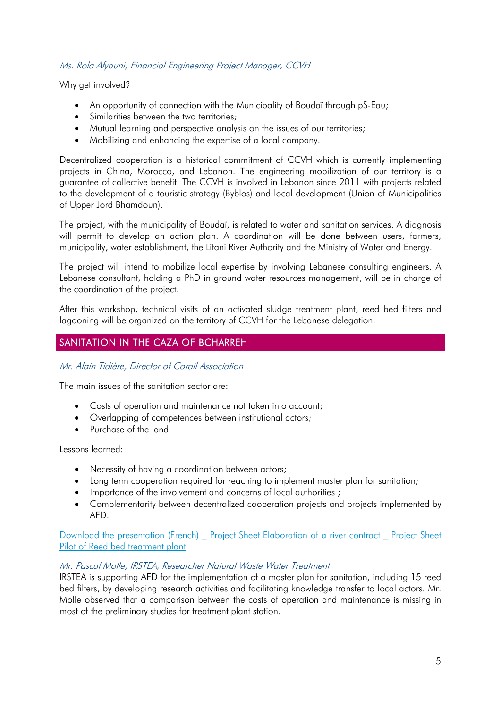### Ms. Rola Afyouni, Financial Engineering Project Manager, CCVH

Why get involved?

- An opportunity of connection with the Municipality of Boudaï through pS-Eau;
- Similarities between the two territories;
- Mutual learning and perspective analysis on the issues of our territories;
- Mobilizing and enhancing the expertise of a local company.

Decentralized cooperation is a historical commitment of CCVH which is currently implementing projects in China, Morocco, and Lebanon. The engineering mobilization of our territory is a guarantee of collective benefit. The CCVH is involved in Lebanon since 2011 with projects related to the development of a touristic strategy (Byblos) and local development (Union of Municipalities of Upper Jord Bhamdoun).

The project, with the municipality of Boudaï, is related to water and sanitation services. A diagnosis will permit to develop an action plan. A coordination will be done between users, farmers, municipality, water establishment, the Litani River Authority and the Ministry of Water and Energy.

The project will intend to mobilize local expertise by involving Lebanese consulting engineers. A Lebanese consultant, holding a PhD in ground water resources management, will be in charge of the coordination of the project.

After this workshop, technical visits of an activated sludge treatment plant, reed bed filters and lagooning will be organized on the territory of CCVH for the Lebanese delegation.

### SANITATION IN THE CAZA OF BCHARREH

#### Mr. Alain Tidière, Director of Corail Association

The main issues of the sanitation sector are:

- Costs of operation and maintenance not taken into account;
- Overlapping of competences between institutional actors;
- Purchase of the land

Lessons learned:

- Necessity of having a coordination between actors;
- Long term cooperation required for reaching to implement master plan for sanitation;
- Importance of the involvement and concerns of local authorities ;
- Complementarity between decentralized cooperation projects and projects implemented by AFD.

[Download the presentation \(French\)](https://www.pseau.org/outils/ouvrages/corail_l_assainissement_du_caza_de_bcharreh_2018.pdf) **Project Sheet Elaboration of a river contract** Project Sheet [Pilot of Reed bed treatment plant](https://www.pseau.org/outils/ouvrages/ps_eau_fiche_projet_station_d_epuration_pilote_filtres_plantes_de_roseaux_2017.pdf.pdf)

#### Mr. Pascal Molle, IRSTEA, Researcher Natural Waste Water Treatment

IRSTEA is supporting AFD for the implementation of a master plan for sanitation, including 15 reed bed filters, by developing research activities and facilitating knowledge transfer to local actors. Mr. Molle observed that a comparison between the costs of operation and maintenance is missing in most of the preliminary studies for treatment plant station.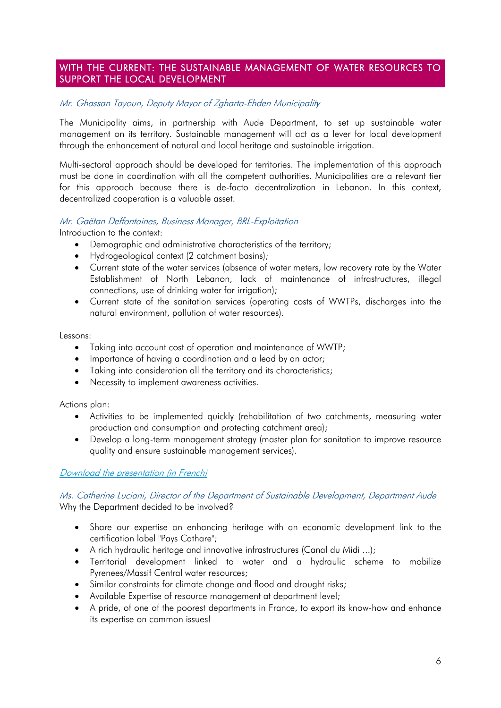### WITH THE CURRENT: THE SUSTAINABLE MANAGEMENT OF WATER RESOURCES TO SUPPORT THE LOCAL DEVELOPMENT

### Mr. Ghassan Tayoun, Deputy Mayor of Zgharta-Ehden Municipality

The Municipality aims, in partnership with Aude Department, to set up sustainable water management on its territory. Sustainable management will act as a lever for local development through the enhancement of natural and local heritage and sustainable irrigation.

Multi-sectoral approach should be developed for territories. The implementation of this approach must be done in coordination with all the competent authorities. Municipalities are a relevant tier for this approach because there is de-facto decentralization in Lebanon. In this context, decentralized cooperation is a valuable asset.

### Mr. Gaëtan Deffontaines, Business Manager, BRL-Exploitation

Introduction to the context:

- Demographic and administrative characteristics of the territory;
- Hydrogeological context (2 catchment basins);
- Current state of the water services (absence of water meters, low recovery rate by the Water Establishment of North Lebanon, lack of maintenance of infrastructures, illegal connections, use of drinking water for irrigation);
- Current state of the sanitation services (operating costs of WWTPs, discharges into the natural environment, pollution of water resources).

Lessons:

- Taking into account cost of operation and maintenance of WWTP;
- Importance of having a coordination and a lead by an actor;
- Taking into consideration all the territory and its characteristics;
- Necessity to implement awareness activities.

Actions plan:

- Activities to be implemented quickly (rehabilitation of two catchments, measuring water production and consumption and protecting catchment area);
- Develop a long-term management strategy (master plan for sanitation to improve resource quality and ensure sustainable management services).

### [Download the presentation \(in French\)](https://www.pseau.org/outils/ouvrages/cd_11_au_fil_de_l_eau_gestion_durable_de_la_ressource_en_eau_comme_support_de_developpement_local_2018.pdf)

#### Ms. Catherine Luciani, Director of the Department of Sustainable Development, Department Aude Why the Department decided to be involved?

- Share our expertise on enhancing heritage with an economic development link to the certification label "Pays Cathare";
- A rich hydraulic heritage and innovative infrastructures (Canal du Midi ...);
- Territorial development linked to water and a hydraulic scheme to mobilize Pyrenees/Massif Central water resources;
- Similar constraints for climate change and flood and drought risks;
- Available Expertise of resource management at department level;
- A pride, of one of the poorest departments in France, to export its know-how and enhance its expertise on common issues!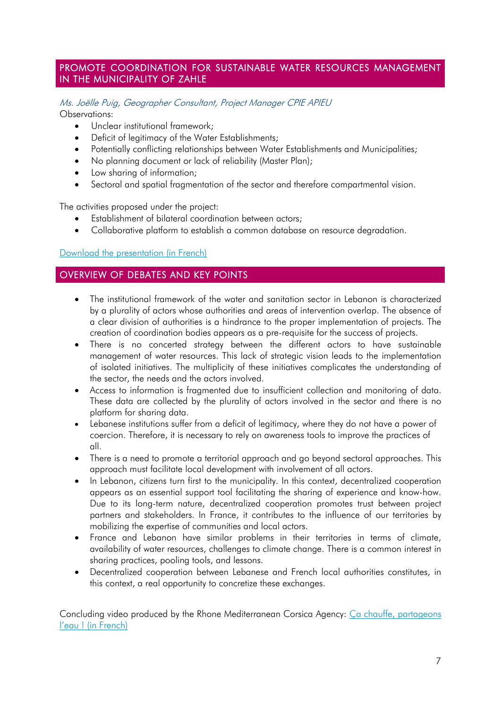### PROMOTE COORDINATION FOR SUSTAINABLE WATER RESOURCES MANAGEMENT IN THE MUNICIPALITY OF ZAHLE

#### Ms. Joëlle Puig, Geographer Consultant, Project Manager CPIE APIEU Observations:

- Unclear institutional framework;
- Deficit of legitimacy of the Water Establishments;
- Potentially conflicting relationships between Water Establishments and Municipalities;
- No planning document or lack of reliability (Master Plan);
- Low sharing of information;
- Sectoral and spatial fragmentation of the sector and therefore compartmental vision.

The activities proposed under the project:

- Establishment of bilateral coordination between actors;
- Collaborative platform to establish a common database on resource degradation.

#### [Download the presentation \(in French\)](https://www.pseau.org/outils/ouvrages/apieu_promouvoir_la_coordination_pour_une_gestion_durable_de_la_ressource_en_eau_a_zahle_2018.pdf)

### OVERVIEW OF DEBATES AND KEY POINTS

- The institutional framework of the water and sanitation sector in Lebanon is characterized by a plurality of actors whose authorities and areas of intervention overlap. The absence of a clear division of authorities is a hindrance to the proper implementation of projects. The creation of coordination bodies appears as a pre-requisite for the success of projects.
- There is no concerted strategy between the different actors to have sustainable management of water resources. This lack of strategic vision leads to the implementation of isolated initiatives. The multiplicity of these initiatives complicates the understanding of the sector, the needs and the actors involved.
- Access to information is fragmented due to insufficient collection and monitoring of data. These data are collected by the plurality of actors involved in the sector and there is no platform for sharing data.
- Lebanese institutions suffer from a deficit of legitimacy, where they do not have a power of coercion. Therefore, it is necessary to rely on awareness tools to improve the practices of all.
- There is a need to promote a territorial approach and ao beyond sectoral approaches. This approach must facilitate local development with involvement of all actors.
- In Lebanon, citizens turn first to the municipality. In this context, decentralized cooperation appears as an essential support tool facilitating the sharing of experience and know-how. Due to its long-term nature, decentralized cooperation promotes trust between project partners and stakeholders. In France, it contributes to the influence of our territories by mobilizing the expertise of communities and local actors.
- France and Lebanon have similar problems in their territories in terms of climate, availability of water resources, challenges to climate change. There is a common interest in sharing practices, pooling tools, and lessons.
- Decentralized cooperation between Lebanese and French local authorities constitutes, in this context, a real opportunity to concretize these exchanges.

Concluding video produced by the Rhone Mediterranean Corsica Agency: [Ça chauffe, partageons](https://www.youtube.com/watch?v=HzavmFXqziU)  l'eau ! [\(in French\)](https://www.youtube.com/watch?v=HzavmFXqziU)